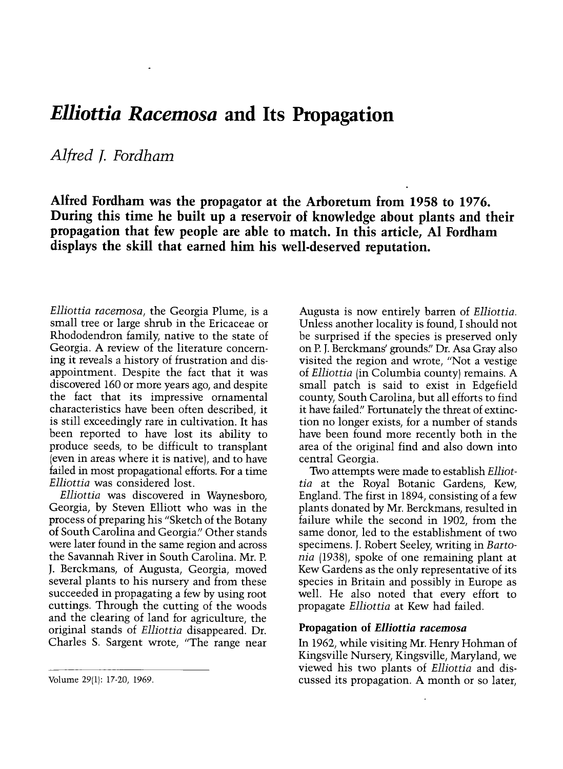## Elliottia Racemosa and Its Propagation

Alfred *J.* Fordham

Alfred Fordham was the propagator at the Arboretum from 1958 to 1976. During this time he built up a reservoir of knowledge about plants and their propagation that few people are able to match. In this article, Al Fordham displays the skill that earned him his well-deserved reputation.

Elliottia racemosa, the Georgia Plume, is a small tree or large shrub in the Ericaceae or Rhododendron family, native to the state of Georgia. A review of the literature concerning it reveals a history of frustration and disappointment. Despite the fact that it was discovered 160 or more years ago, and despite the fact that its impressive ornamental characteristics have been often described, it is still exceedingly rare in cultivation. It has been reported to have lost its ability to produce seeds, to be difficult to transplant (even in areas where it is native), and to have failed in most propagational efforts. For a time Elliottia was considered lost.

Elliottia was discovered in Waynesboro, Georgia, by Steven Elliott who was in the process of preparing his "Sketch of the Botany of South Carolina and Georgia." Other stands were later found in the same region and across the Savannah River in South Carolina. Mr. P. J. Berckmans, of Augusta, Georgia, moved several plants to his nursery and from these succeeded in propagating a few by using root cuttings. Through the cutting of the woods and the clearing of land for agriculture, the original stands of Elliottia disappeared. Dr. Charles S. Sargent wrote, "The range near

Augusta is now entirely barren of Elliottia. Unless another locality is found, I should not<br>be surprised if the species is preserved only on P. J. Berckmans' grounds." Dr. Asa Gray also visited the region and wrote, "Not a vestige of Elliottia (in Columbia county) remains. A small patch is said to exist in Edgefield county, South Carolina, but all efforts to find it have failed." Fortunately the threat of extinction no longer exists, for a number of stands have been found more recently both in the area of the original find and also down into central Georgia.

Two attempts were made to establish Elliottia at the Royal Botanic Gardens, Kew, England. The first in 1894, consisting of a few plants donated by Mr. Berckmans, resulted in failure while the second in 1902, from the same donor, led to the establishment of two specimens. J. Robert Seeley, writing in Bartonia (1938), spoke of one remaining plant at Kew Gardens as the only representative of its species in Britain and possibly in Europe as well. He also noted that every effort to propagate Elliottia at Kew had failed.

## Propagation of Elliottia racemosa

In 1962, while visiting Mr. Henry Hohman of Kingsville Nursery, Kingsville, Maryland, we viewed his two plants of Elliottia and discussed its propagation. A month or so later,

Volume 29(1): 17-20, 1969.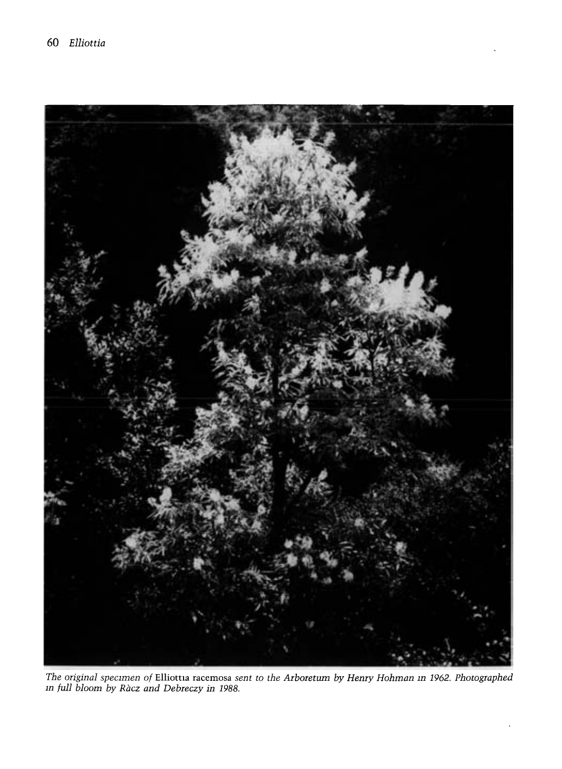

The original specimen of Elliottia racemosa sent to the Arboretum by Henry Hohman in 1962. Photographed m full bloom by Racz and Debreczy in 1988.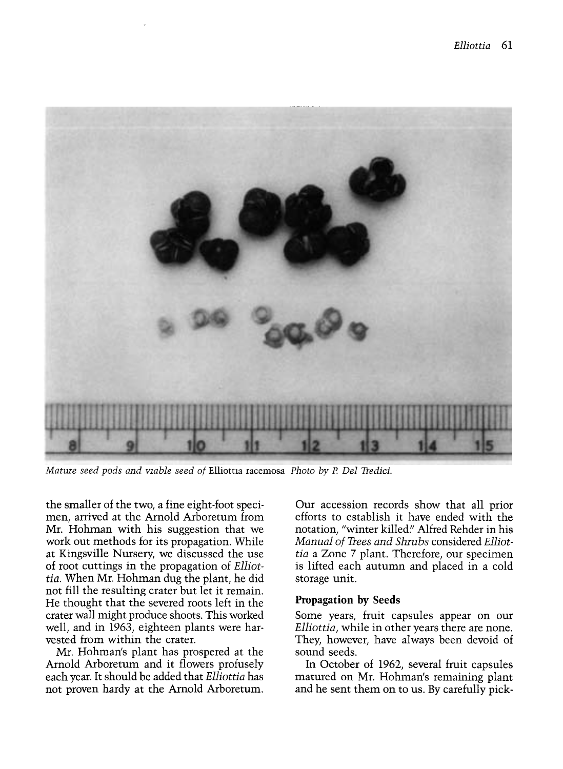

Mature seed pods and viable seed of Elliottia racemosa Photo by P. Del Tredici.

the smaller of the two, a fine eight-foot specimen, arrived at the Arnold Arboretum from Mr. Hohman with his suggestion that we work out methods for its propagation. While at Kingsville Nursery, we discussed the use of root cuttings in the propagation of Elliottia. When Mr. Hohman dug the plant, he did not fill the resulting crater but let it remain. He thought that the severed roots left in the crater wall might produce shoots. This worked well, and in 1963, eighteen plants were harvested from within the crater.

Mr. Hohman's plant has prospered at the Arnold Arboretum and it flowers profusely each year. It should be added that Elliottia has not proven hardy at the Arnold Arboretum. Our accession records show that all prior efforts to establish it have ended with the notation, "winter killed." Alfred Rehder in his Manual of Trees and Shrubs considered Elliottia a Zone 7 plant. Therefore, our specimen is lifted each autumn and placed in a cold storage unit.

## Propagation by Seeds

Some years, fruit capsules appear on our Elliottia, while in other years there are none. They, however, have always been devoid of sound seeds.

In October of 1962, several fruit capsules matured on Mr. Hohman's remaining plant and he sent them on to us. By carefully pick